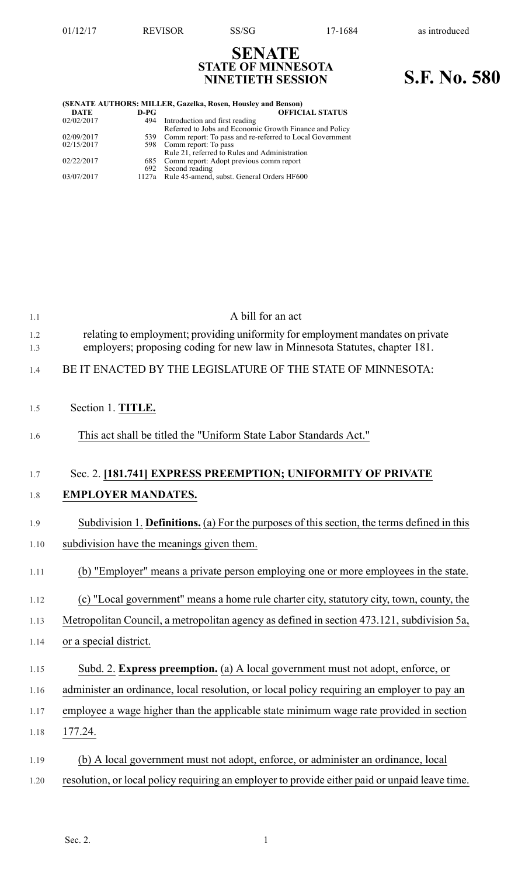**SENATE STATE OF MINNESOTA**

## **NINETIETH SESSION S.F. No. 580**

| (SENATE AUTHORS: MILLER, Gazelka, Rosen, Housley and Benson) |        |                                                          |  |  |
|--------------------------------------------------------------|--------|----------------------------------------------------------|--|--|
| <b>DATE</b>                                                  | $D-PG$ | <b>OFFICIAL STATUS</b>                                   |  |  |
| 02/02/2017                                                   | 494    | Introduction and first reading                           |  |  |
|                                                              |        | Referred to Jobs and Economic Growth Finance and Policy  |  |  |
| 02/09/2017                                                   | 539    | Comm report: To pass and re-referred to Local Government |  |  |
| 02/15/2017                                                   |        | 598 Comm report: To pass                                 |  |  |
|                                                              |        | Rule 21, referred to Rules and Administration            |  |  |
| 02/22/2017                                                   |        | 685 Comm report: Adopt previous comm report              |  |  |
|                                                              | 692    | Second reading                                           |  |  |
| 03/07/2017                                                   | 1127a  | Rule 45-amend, subst. General Orders HF600               |  |  |

| 1.1        | A bill for an act                                                                                                                                              |
|------------|----------------------------------------------------------------------------------------------------------------------------------------------------------------|
| 1.2<br>1.3 | relating to employment; providing uniformity for employment mandates on private<br>employers; proposing coding for new law in Minnesota Statutes, chapter 181. |
| 1.4        | BE IT ENACTED BY THE LEGISLATURE OF THE STATE OF MINNESOTA:                                                                                                    |
| 1.5        | Section 1. TITLE.                                                                                                                                              |
| 1.6        | This act shall be titled the "Uniform State Labor Standards Act."                                                                                              |
| 1.7        | Sec. 2. [181.741] EXPRESS PREEMPTION; UNIFORMITY OF PRIVATE                                                                                                    |
| 1.8        | <b>EMPLOYER MANDATES.</b>                                                                                                                                      |
| 1.9        | Subdivision 1. <b>Definitions.</b> (a) For the purposes of this section, the terms defined in this                                                             |
| 1.10       | subdivision have the meanings given them.                                                                                                                      |
| 1.11       | (b) "Employer" means a private person employing one or more employees in the state.                                                                            |
| 1.12       | (c) "Local government" means a home rule charter city, statutory city, town, county, the                                                                       |
| 1.13       | Metropolitan Council, a metropolitan agency as defined in section 473.121, subdivision 5a,                                                                     |
| 1.14       | or a special district.                                                                                                                                         |
| 1.15       | Subd. 2. Express preemption. (a) A local government must not adopt, enforce, or                                                                                |
| 1.16       | administer an ordinance, local resolution, or local policy requiring an employer to pay an                                                                     |
| 1.17       | employee a wage higher than the applicable state minimum wage rate provided in section                                                                         |
| 1.18       | 177.24.                                                                                                                                                        |
| 1.19       | (b) A local government must not adopt, enforce, or administer an ordinance, local                                                                              |
| 1.20       | resolution, or local policy requiring an employer to provide either paid or unpaid leave time.                                                                 |